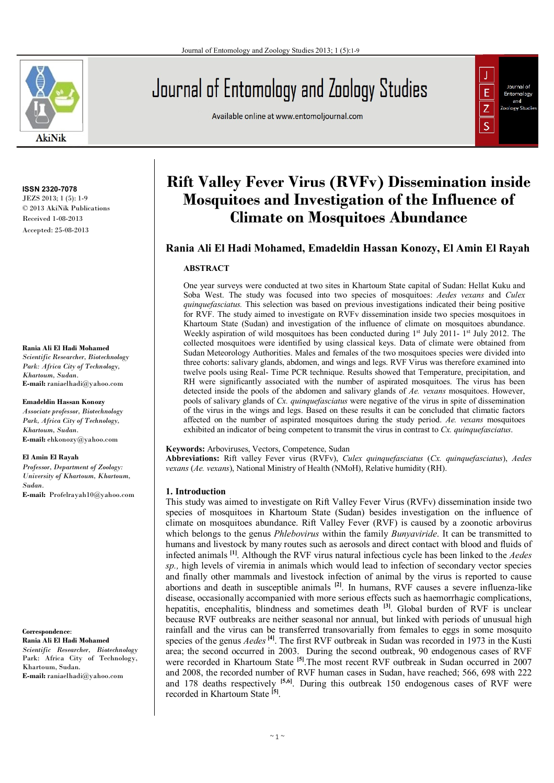

**ISSN 2320-7078** JEZS 2013; 1 (5): 1-9 © 2013 AkiNik Publications Received 1-08-2013 Accepted: 25-08-2013

#### **Rania Ali El Hadi Mohamed**

*Scientific Researcher, Biotechnology Park: Africa City of Technology, Khartoum, Sudan.*  **E-mail:** raniaelhadi@yahoo.com

#### **Emadeldin Hassan Konozy**

*Associate professor, Biotechnology Park, Africa City of Technology, Khartoum, Sudan.* **E-mail:** ehkonozy@yahoo.com

#### **El Amin El Rayah**

*Professor, Department of Zoology: University of Khartoum, Khartoum, Sudan.* **E-mail:** Profelrayah10@yahoo.com

**Correspondence**: **Rania Ali El Hadi Mohamed**  *Scientific Researcher, Biotechnology*  Park: Africa City of Technology, Khartoum, Sudan. **E-mail:** raniaelhadi@yahoo.com

# Journal of Entomology and Zoology Studies

Available online at www.entomoljournal.com



# **Rift Valley Fever Virus (RVFv) Dissemination inside Mosquitoes and Investigation of the Influence of Climate on Mosquitoes Abundance**

# **Rania Ali El Hadi Mohamed, Emadeldin Hassan Konozy, El Amin El Rayah**

#### **ABSTRACT**

One year surveys were conducted at two sites in Khartoum State capital of Sudan: Hellat Kuku and Soba West. The study was focused into two species of mosquitoes: *Aedes vexans* and *Culex quinquefasciatus.* This selection was based on previous investigations indicated their being positive for RVF. The study aimed to investigate on RVFv dissemination inside two species mosquitoes in Khartoum State (Sudan) and investigation of the influence of climate on mosquitoes abundance. Weekly aspiration of wild mosquitoes has been conducted during 1<sup>st</sup> July 2011-1<sup>st</sup> July 2012. The collected mosquitoes were identified by using classical keys. Data of climate were obtained from Sudan Meteorology Authorities. Males and females of the two mosquitoes species were divided into three cohorts: salivary glands, abdomen, and wings and legs. RVF Virus was therefore examined into twelve pools using Real- Time PCR technique. Results showed that Temperature, precipitation, and RH were significantly associated with the number of aspirated mosquitoes. The virus has been detected inside the pools of the abdomen and salivary glands of *Ae. vexans* mosquitoes. However, pools of salivary glands of *Cx. quinquefasciatus* were negative of the virus in spite of dissemination of the virus in the wings and legs. Based on these results it can be concluded that climatic factors affected on the number of aspirated mosquitoes during the study period. *Ae. vexans* mosquitoes exhibited an indicator of being competent to transmit the virus in contrast to *Cx. quinquefasciatus*.

#### **Keywords:** Arboviruses, Vectors, Competence, Sudan

**Abbreviations:** Rift valley Fever virus (RVFv), *Culex quinquefasciatus* (*Cx. quinquefasciatus*), *Aedes vexans* (*Ae. vexans*), National Ministry of Health (NMoH), Relative humidity (RH).

#### **1. Introduction**

This study was aimed to investigate on Rift Valley Fever Virus (RVFv) dissemination inside two species of mosquitoes in Khartoum State (Sudan) besides investigation on the influence of climate on mosquitoes abundance. Rift Valley Fever (RVF) is caused by a zoonotic arbovirus which belongs to the genus *Phlebovirus* within the family *Bunyaviride*. It can be transmitted to humans and livestock by many routes such as aerosols and direct contact with blood and fluids of infected animals **[1]** . Although the RVF virus natural infectious cycle has been linked to the *Aedes sp.,* high levels of viremia in animals which would lead to infection of secondary vector species and finally other mammals and livestock infection of animal by the virus is reported to cause abortions and death in susceptible animals **[2]** . In humans, RVF causes a severe influenza-like disease, occasionally accompanied with more serious effects such as haemorrhagic complications, hepatitis, encephalitis, blindness and sometimes death **[3]**. Global burden of RVF is unclear because RVF outbreaks are neither seasonal nor annual, but linked with periods of unusual high rainfall and the virus can be transferred transovarially from females to eggs in some mosquito species of the genus *Aedes*<sup>[4]</sup>. The first RVF outbreak in Sudan was recorded in 1973 in the Kusti area; the second occurred in 2003. During the second outbreak, 90 endogenous cases of RVF were recorded in Khartoum State **[5]**.The most recent RVF outbreak in Sudan occurred in 2007 and 2008, the recorded number of RVF human cases in Sudan, have reached; 566, 698 with 222 and 178 deaths respectively **[5,6]** . During this outbreak 150 endogenous cases of RVF were recorded in Khartoum State **[5]** .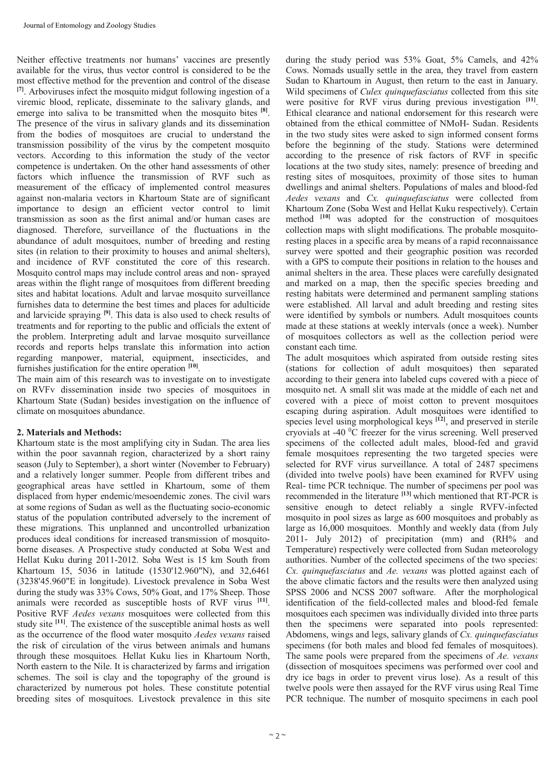Neither effective treatments nor humans' vaccines are presently available for the virus, thus vector control is considered to be the most effective method for the prevention and control of the disease **[7]**. Arboviruses infect the mosquito midgut following ingestion of a viremic blood, replicate, disseminate to the salivary glands, and emerge into saliva to be transmitted when the mosquito bites <sup>[8]</sup>. The presence of the virus in salivary glands and its dissemination from the bodies of mosquitoes are crucial to understand the transmission possibility of the virus by the competent mosquito vectors. According to this information the study of the vector competence is undertaken. On the other hand assessments of other factors which influence the transmission of RVF such as measurement of the efficacy of implemented control measures against non-malaria vectors in Khartoum State are of significant importance to design an efficient vector control to limit transmission as soon as the first animal and/or human cases are diagnosed. Therefore, surveillance of the fluctuations in the abundance of adult mosquitoes, number of breeding and resting sites (in relation to their proximity to houses and animal shelters), and incidence of RVF constituted the core of this research. Mosquito control maps may include control areas and non- sprayed areas within the flight range of mosquitoes from different breeding sites and habitat locations. Adult and larvae mosquito surveillance furnishes data to determine the best times and places for adulticide and larvicide spraying **[9]**. This data is also used to check results of treatments and for reporting to the public and officials the extent of the problem. Interpreting adult and larvae mosquito surveillance records and reports helps translate this information into action regarding manpower, material, equipment, insecticides, and furnishes justification for the entire operation **[10]** .

The main aim of this research was to investigate on to investigate on RVFv dissemination inside two species of mosquitoes in Khartoum State (Sudan) besides investigation on the influence of climate on mosquitoes abundance.

### **2. Materials and Methods:**

Khartoum state is the most amplifying city in Sudan. The area lies within the poor savannah region, characterized by a short rainy season (July to September), a short winter (November to February) and a relatively longer summer. People from different tribes and geographical areas have settled in Khartoum, some of them displaced from hyper endemic/mesoendemic zones. The civil wars at some regions of Sudan as well as the fluctuating socio-economic status of the population contributed adversely to the increment of these migrations. This unplanned and uncontrolled urbanization produces ideal conditions for increased transmission of mosquitoborne diseases. A Prospective study conducted at Soba West and Hellat Kuku during 2011-2012. Soba West is 15 km South from Khartoum 15, 5036 in latitude (1530'12.960"N), and 32,6461 (3238'45.960"E in longitude). Livestock prevalence in Soba West during the study was 33% Cows, 50% Goat, and 17% Sheep. Those animals were recorded as susceptible hosts of RVF virus **[11]** . Positive RVF *Aedes vexans* mosquitoes were collected from this study site **[11]**. The existence of the susceptible animal hosts as well as the occurrence of the flood water mosquito *Aedes vexans* raised the risk of circulation of the virus between animals and humans through these mosquitoes*.* Hellat Kuku lies in Khartoum North, North eastern to the Nile. It is characterized by farms and irrigation schemes. The soil is clay and the topography of the ground is characterized by numerous pot holes. These constitute potential breeding sites of mosquitoes. Livestock prevalence in this site

during the study period was 53% Goat, 5% Camels, and 42% Cows. Nomads usually settle in the area, they travel from eastern Sudan to Khartoum in August, then return to the east in January. Wild specimens of *Culex quinquefasciatus* collected from this site were positive for RVF virus during previous investigation **[11]** . Ethical clearance and national endorsement for this research were obtained from the ethical committee of NMoH- Sudan. Residents in the two study sites were asked to sign informed consent forms before the beginning of the study. Stations were determined according to the presence of risk factors of RVF in specific locations at the two study sites, namely: presence of breeding and resting sites of mosquitoes, proximity of those sites to human dwellings and animal shelters. Populations of males and blood-fed *Aedes vexans* and *Cx. quinquefasciatus* were collected from Khartoum Zone (Soba West and Hellat Kuku respectively). Certain method <sup>[10]</sup> was adopted for the construction of mosquitoes collection maps with slight modifications. The probable mosquitoresting places in a specific area by means of a rapid reconnaissance survey were spotted and their geographic position was recorded with a GPS to compute their positions in relation to the houses and animal shelters in the area. These places were carefully designated and marked on a map, then the specific species breeding and resting habitats were determined and permanent sampling stations were established. All larval and adult breeding and resting sites were identified by symbols or numbers. Adult mosquitoes counts made at these stations at weekly intervals (once a week). Number of mosquitoes collectors as well as the collection period were constant each time.

The adult mosquitoes which aspirated from outside resting sites (stations for collection of adult mosquitoes) then separated according to their genera into labeled cups covered with a piece of mosquito net. A small slit was made at the middle of each net and covered with a piece of moist cotton to prevent mosquitoes escaping during aspiration. Adult mosquitoes were identified to species level using morphological keys <sup>[12]</sup>, and preserved in sterile cryovials at -40 <sup>0</sup>C freezer for the virus screening. Well preserved specimens of the collected adult males, blood-fed and gravid female mosquitoes representing the two targeted species were selected for RVF virus surveillance. A total of 2487 specimens (divided into twelve pools) have been examined for RVFV using Real- time PCR technique. The number of specimens per pool was recommended in the literature **[13]** which mentioned that RT-PCR is sensitive enough to detect reliably a single RVFV-infected mosquito in pool sizes as large as 600 mosquitoes and probably as large as 16,000 mosquitoes. Monthly and weekly data (from July 2011- July 2012) of precipitation (mm) and (RH% and Temperature) respectively were collected from Sudan meteorology authorities. Number of the collected specimens of the two species: *Cx. quinquefasciatus* and *Ae. vexans* was plotted against each of the above climatic factors and the results were then analyzed using SPSS 2006 and NCSS 2007 software. After the morphological identification of the field-collected males and blood-fed female mosquitoes each specimen was individually divided into three parts then the specimens were separated into pools represented: Abdomens, wings and legs, salivary glands of *Cx. quinquefasciatus* specimens (for both males and blood fed females of mosquitoes). The same pools were prepared from the specimens of *Ae. vexans* (dissection of mosquitoes specimens was performed over cool and dry ice bags in order to prevent virus lose). As a result of this twelve pools were then assayed for the RVF virus using Real Time PCR technique. The number of mosquito specimens in each pool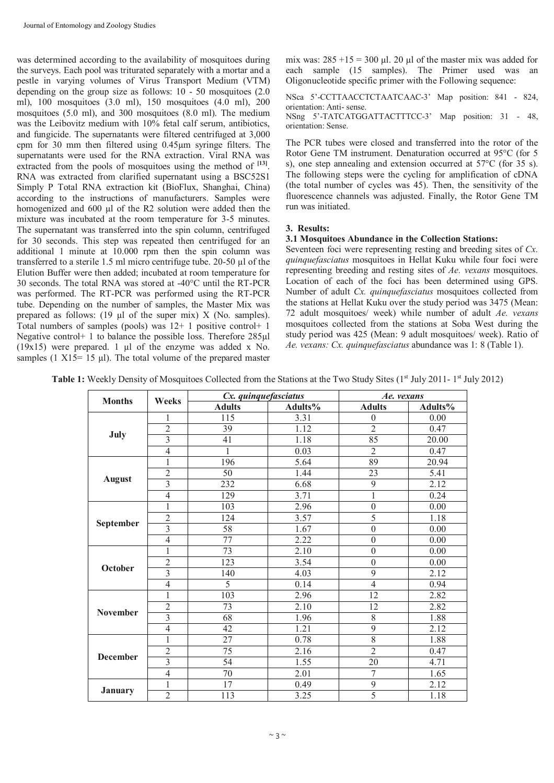was determined according to the availability of mosquitoes during the surveys. Each pool was triturated separately with a mortar and a pestle in varying volumes of Virus Transport Medium (VTM) depending on the group size as follows: 10 - 50 mosquitoes (2.0 ml), 100 mosquitoes (3.0 ml), 150 mosquitoes (4.0 ml), 200 mosquitoes (5.0 ml), and 300 mosquitoes (8.0 ml). The medium was the Leibovitz medium with 10% fetal calf serum, antibiotics, and fungicide. The supernatants were filtered centrifuged at 3,000 cpm for 30 mm then filtered using 0.45µm syringe filters. The supernatants were used for the RNA extraction. Viral RNA was extracted from the pools of mosquitoes using the method of <sup>[13]</sup>. RNA was extracted from clarified supernatant using a BSC52S1 Simply P Total RNA extraction kit (BioFlux, Shanghai, China) according to the instructions of manufacturers. Samples were homogenized and 600 µl of the R2 solution were added then the mixture was incubated at the room temperature for 3-5 minutes. The supernatant was transferred into the spin column, centrifuged for 30 seconds. This step was repeated then centrifuged for an additional 1 minute at 10.000 rpm then the spin column was transferred to a sterile 1.5 ml micro centrifuge tube. 20-50 µl of the Elution Buffer were then added; incubated at room temperature for 30 seconds. The total RNA was stored at -40°C until the RT-PCR was performed. The RT-PCR was performed using the RT-PCR tube. Depending on the number of samples, the Master Mix was prepared as follows: (19 µl of the super mix) X (No. samples). Total numbers of samples (pools) was  $12+1$  positive control + 1 Negative control+ 1 to balance the possible loss. Therefore 285µl  $(19x15)$  were prepared. 1 ul of the enzyme was added x No. samples (1  $X15 = 15$  µl). The total volume of the prepared master

mix was:  $285 + 15 = 300$  µl. 20 µl of the master mix was added for each sample (15 samples). The Primer used was an Oligonucleotide specific primer with the Following sequence:

NSca 5'-CCTTAACCTCTAATCAAC-3' Map position: 841 - 824, orientation: Anti- sense. NSng 5'-TATCATGGATTACTTTCC-3' Map position: 31 - 48, orientation: Sense.

The PCR tubes were closed and transferred into the rotor of the Rotor Gene TM instrument. Denaturation occurred at 95°C (for 5 s), one step annealing and extension occurred at  $57^{\circ}$ C (for 35 s). The following steps were the cycling for amplification of cDNA (the total number of cycles was 45). Then, the sensitivity of the fluorescence channels was adjusted. Finally, the Rotor Gene TM run was initiated.

### **3. Results:**

#### **3.1 Mosquitoes Abundance in the Collection Stations:**

Seventeen foci were representing resting and breeding sites of *Cx. quinquefasciatus* mosquitoes in Hellat Kuku while four foci were representing breeding and resting sites of *Ae. vexans* mosquitoes. Location of each of the foci has been determined using GPS. Number of adult *Cx. quinquefasciatus* mosquitoes collected from the stations at Hellat Kuku over the study period was 3475 (Mean: 72 adult mosquitoes/ week) while number of adult *Ae. vexans* mosquitoes collected from the stations at Soba West during the study period was 425 (Mean: 9 adult mosquitoes/ week). Ratio of *Ae. vexans: Cx. quinquefasciatus* abundance was 1: 8 (Table 1).

Table 1: Weekly Density of Mosquitoes Collected from the Stations at the Two Study Sites (1<sup>st</sup> July 2011-1<sup>st</sup> July 2012)

| <b>Months</b>   |                         | Cx. quinquefasciatus |         | Ae. vexans       |         |
|-----------------|-------------------------|----------------------|---------|------------------|---------|
|                 | Weeks                   | <b>Adults</b>        | Adults% | <b>Adults</b>    | Adults% |
| July            | 1                       | 115                  | 3.31    | $\theta$         | 0.00    |
|                 | $\overline{2}$          | $\overline{39}$      | 1.12    | $\overline{2}$   | 0.47    |
|                 | 3                       | 41                   | 1.18    | 85               | 20.00   |
|                 | $\overline{4}$          |                      | 0.03    | $\overline{2}$   | 0.47    |
|                 | 1                       | 196                  | 5.64    | 89               | 20.94   |
|                 | $\overline{2}$          | 50                   | 1.44    | 23               | 5.41    |
| <b>August</b>   | 3                       | 232                  | 6.68    | 9                | 2.12    |
|                 | $\overline{4}$          | 129                  | 3.71    | $\mathbf{1}$     | 0.24    |
|                 | 1                       | 103                  | 2.96    | $\overline{0}$   | 0.00    |
|                 | $\overline{c}$          | 124                  | 3.57    | 5                | 1.18    |
| September       | $\overline{3}$          | 58                   | 1.67    | $\overline{0}$   | 0.00    |
|                 | $\overline{4}$          | 77                   | 2.22    | $\overline{0}$   | 0.00    |
|                 | 1                       | 73                   | 2.10    | $\boldsymbol{0}$ | 0.00    |
| October         | $\overline{2}$          | 123                  | 3.54    | $\mathbf{0}$     | 0.00    |
|                 | $\overline{\mathbf{3}}$ | 140                  | 4.03    | 9                | 2.12    |
|                 | $\overline{4}$          | 5                    | 0.14    | $\overline{4}$   | 0.94    |
|                 | 1                       | 103                  | 2.96    | 12               | 2.82    |
| <b>November</b> | $\overline{2}$          | 73                   | 2.10    | 12               | 2.82    |
|                 | $\overline{3}$          | 68                   | 1.96    | 8                | 1.88    |
|                 | $\overline{4}$          | 42                   | 1.21    | 9                | 2.12    |
|                 |                         | 27                   | 0.78    | $\overline{8}$   | 1.88    |
| <b>December</b> | $\overline{c}$          | 75                   | 2.16    | $\overline{2}$   | 0.47    |
|                 | $\overline{3}$          | 54                   | 1.55    | 20               | 4.71    |
|                 | $\overline{4}$          | $\overline{70}$      | 2.01    | 7                | 1.65    |
| <b>January</b>  | 1                       | 17                   | 0.49    | $\overline{9}$   | 2.12    |
|                 | $\overline{2}$          | 113                  | 3.25    | 5                | 1.18    |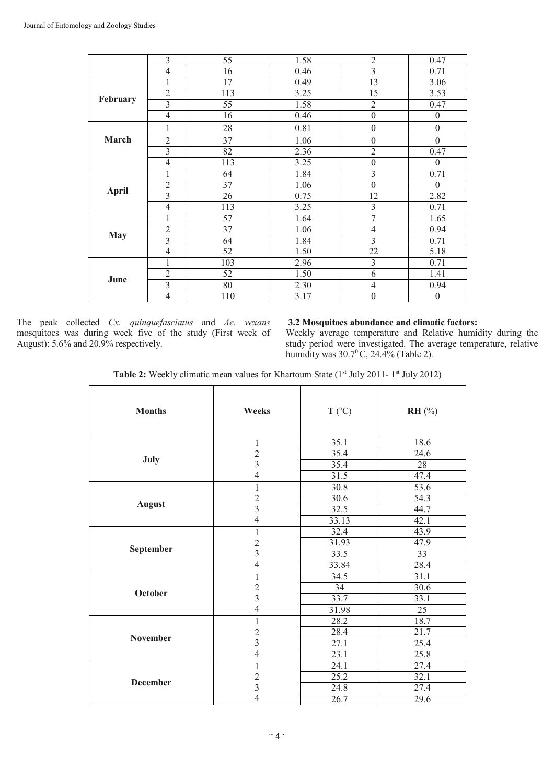|              | 3                       | 55              | 1.58 | $\overline{2}$   | 0.47             |
|--------------|-------------------------|-----------------|------|------------------|------------------|
|              | $\overline{4}$          | 16              | 0.46 | $\overline{3}$   | 0.71             |
| February     | 1                       | 17              | 0.49 | 13               | 3.06             |
|              | $\overline{2}$          | 113             | 3.25 | 15               | 3.53             |
|              | $\overline{\mathbf{3}}$ | 55              | 1.58 | $\overline{2}$   | 0.47             |
|              | $\overline{4}$          | 16              | 0.46 | $\mathbf{0}$     | $\theta$         |
|              | 1                       | 28              | 0.81 | $\mathbf{0}$     | $\boldsymbol{0}$ |
| March        | $\overline{2}$          | $\overline{37}$ | 1.06 | $\mathbf{0}$     | $\theta$         |
|              | $\overline{3}$          | 82              | 2.36 | $\overline{2}$   | 0.47             |
|              | $\overline{4}$          | 113             | 3.25 | $\boldsymbol{0}$ | $\mathbf{0}$     |
| <b>April</b> | 1                       | 64              | 1.84 | $\overline{3}$   | 0.71             |
|              | $\overline{2}$          | 37              | 1.06 | $\mathbf{0}$     | $\theta$         |
|              | $\overline{3}$          | 26              | 0.75 | 12               | 2.82             |
|              | $\overline{4}$          | 113             | 3.25 | $\overline{3}$   | 0.71             |
| <b>May</b>   | 1                       | 57              | 1.64 | $\overline{7}$   | 1.65             |
|              | $\overline{2}$          | 37              | 1.06 | $\overline{4}$   | 0.94             |
|              | $\overline{3}$          | 64              | 1.84 | $\overline{3}$   | 0.71             |
|              | $\overline{4}$          | 52              | 1.50 | 22               | 5.18             |
| June         | 1                       | 103             | 2.96 | $\mathfrak{Z}$   | 0.71             |
|              | $\overline{2}$          | 52              | 1.50 | 6                | 1.41             |
|              | $\overline{\mathbf{3}}$ | 80              | 2.30 | $\overline{4}$   | 0.94             |
|              | $\overline{4}$          | 110             | 3.17 | $\boldsymbol{0}$ | $\theta$         |

The peak collected *Cx. quinquefasciatus* and *Ae. vexans*  mosquitoes was during week five of the study (First week of August): 5.6% and 20.9% respectively.

# **3.2 Mosquitoes abundance and climatic factors:**

Weekly average temperature and Relative humidity during the study period were investigated. The average temperature, relative humidity was  $30.7^{\circ}$ C,  $24.4\%$  (Table 2).

Table 2: Weekly climatic mean values for Khartoum State (1<sup>st</sup> July 2011-1<sup>st</sup> July 2012)

| <b>Months</b>   | Weeks                    | $T (^{\circ}C)$ | $RH$ (%)        |
|-----------------|--------------------------|-----------------|-----------------|
|                 |                          |                 |                 |
|                 | $\mathbf{1}$             | 35.1            | 18.6            |
|                 | $\overline{c}$           | 35.4            | 24.6            |
| July            | $\overline{3}$           | 35.4            | 28              |
|                 | $\overline{\mathcal{L}}$ | 31.5            | 47.4            |
|                 | $\mathbf{1}$             | 30.8            | 53.6            |
|                 |                          | 30.6            | 54.3            |
| <b>August</b>   | $\frac{2}{3}$            | 32.5            | 44.7            |
|                 | $\overline{4}$           | 33.13           | 42.1            |
|                 | $\mathbf{1}$             | 32.4            | 43.9            |
|                 | $\overline{c}$           | 31.93           | 47.9            |
| September       | $\overline{3}$           | 33.5            | $\overline{33}$ |
|                 | $\overline{4}$           | 33.84           | 28.4            |
|                 | 1                        | 34.5            | 31.1            |
|                 | $\overline{c}$           | 34              | 30.6            |
| October         | $\overline{3}$           | 33.7            | 33.1            |
|                 | $\overline{4}$           | 31.98           | $\overline{25}$ |
|                 | 1                        | 28.2            | 18.7            |
| November        | $\overline{c}$           | 28.4            | 21.7            |
|                 | $\overline{3}$           | 27.1            | 25.4            |
|                 | $\overline{\mathcal{L}}$ | 23.1            | 25.8            |
|                 | $\mathbf{1}$             | 24.1            | 27.4            |
|                 | $\sqrt{2}$               | 25.2            | 32.1            |
| <b>December</b> | 3                        | 24.8            | 27.4            |
|                 | $\overline{4}$           | 26.7            | 29.6            |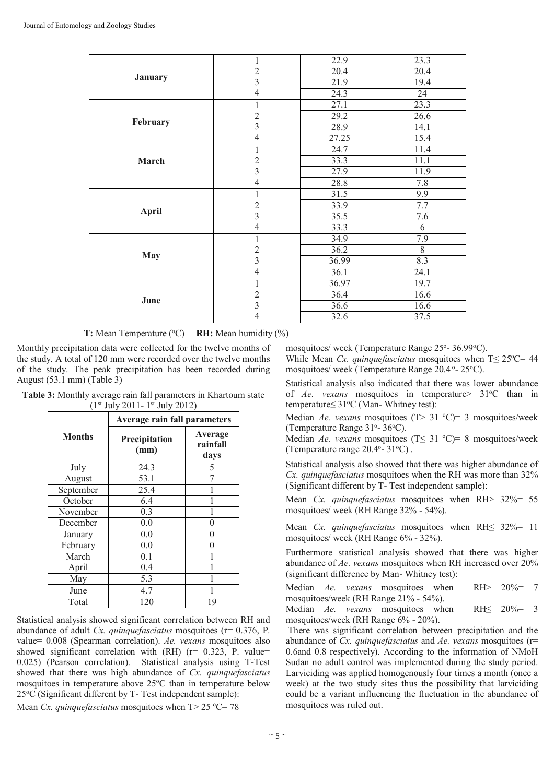|                | 1              | 22.9  | 23.3 |
|----------------|----------------|-------|------|
|                | $\overline{2}$ | 20.4  | 20.4 |
| <b>January</b> | 3              | 21.9  | 19.4 |
|                | $\overline{4}$ | 24.3  | 24   |
|                | 1              | 27.1  | 23.3 |
|                | $\overline{c}$ | 29.2  | 26.6 |
| February       | $\overline{3}$ | 28.9  | 14.1 |
|                | $\overline{4}$ | 27.25 | 15.4 |
|                | 1              | 24.7  | 11.4 |
| March          | $\overline{c}$ | 33.3  | 11.1 |
|                | $\overline{3}$ | 27.9  | 11.9 |
|                | $\overline{4}$ | 28.8  | 7.8  |
|                | 1              | 31.5  | 9.9  |
|                | $\overline{2}$ | 33.9  | 7.7  |
| <b>April</b>   | $\overline{3}$ | 35.5  | 7.6  |
|                | $\overline{4}$ | 33.3  | 6    |
|                | 1              | 34.9  | 7.9  |
|                | $\overline{c}$ | 36.2  | 8    |
| <b>May</b>     | $\overline{3}$ | 36.99 | 8.3  |
|                | 4              | 36.1  | 24.1 |
|                | $\mathbf{1}$   | 36.97 | 19.7 |
|                | $\overline{c}$ | 36.4  | 16.6 |
| June           | $\overline{3}$ | 36.6  | 16.6 |
|                | 4              | 32.6  | 37.5 |

**T:** Mean Temperature (°C) **RH:** Mean humidity (%)

Monthly precipitation data were collected for the twelve months of the study. A total of 120 mm were recorded over the twelve months of the study. The peak precipitation has been recorded during August (53.1 mm) (Table 3)

**Table 3:** Monthly average rain fall parameters in Khartoum state (1st July 2011- 1 st July 2012)

|               | <b>Average rain fall parameters</b> |                             |  |
|---------------|-------------------------------------|-----------------------------|--|
| <b>Months</b> | Precipitation<br>(mm)               | Average<br>rainfall<br>days |  |
| July          | 24.3                                | 5                           |  |
| August        | 53.1                                |                             |  |
| September     | 25.4                                |                             |  |
| October       | 6.4                                 |                             |  |
| November      | 0.3                                 |                             |  |
| December      | 0.0                                 | 0                           |  |
| January       | 0.0                                 |                             |  |
| February      | 0.0                                 |                             |  |
| March         | 0.1                                 |                             |  |
| April         | 0.4                                 |                             |  |
| May           | 5.3                                 |                             |  |
| June          | 4.7                                 |                             |  |
| Total         | 120                                 | 19                          |  |

Statistical analysis showed significant correlation between RH and abundance of adult *Cx. quinquefasciatus* mosquitoes (r= 0.376, P. value= 0.008 (Spearman correlation). *Ae. vexans* mosquitoes also showed significant correlation with  $(RH)$  ( $r= 0.323$ , P. value= 0.025) (Pearson correlation). Statistical analysis using T-Test showed that there was high abundance of *Cx. quinquefasciatus* mosquitoes in temperature above  $25^{\circ}$ C than in temperature below  $25^{\circ}$ C (Significant different by T-Test independent sample):

Mean *Cx. quinquefasciatus* mosquitoes when  $T > 25$  °C= 78

mosquitoes/ week (Temperature Range 25°-36.99°C).

While Mean *Cx. quinquefasciatus* mosquitoes when T≤ 25 °C= 44 mosquitoes/ week (Temperature Range 20.4°-25°C).

Statistical analysis also indicated that there was lower abundance of *Ae. vexans* mosquitoes in temperature> 31°C than in temperature $\leq$  31°C (Man-Whitney test):

Median *Ae. vexans* mosquitoes (T> 31 °C)= 3 mosquitoes/week (Temperature Range 31°-36°C).

Median *Ae. vexans* mosquitoes (T≤ 31 °C)= 8 mosquitoes/week (Temperature range 20.4°-31°C).

Statistical analysis also showed that there was higher abundance of *Cx. quinquefasciatus* mosquitoes when the RH was more than 32% (Significant different by T- Test independent sample):

Mean *Cx. quinquefasciatus* mosquitoes when RH> 32%= 55 mosquitoes/ week (RH Range 32% - 54%).

Mean *Cx. quinquefasciatus* mosquitoes when RH≤ 32%= 11 mosquitoes/ week (RH Range 6% - 32%).

Furthermore statistical analysis showed that there was higher abundance of *Ae. vexans* mosquitoes when RH increased over 20% (significant difference by Man- Whitney test):

Median *Ae. vexans* mosquitoes when RH> 20%= 7 mosquitoes/week (RH Range 21% - 54%).

Median *Ae. vexans* mosquitoes when RH≤ 20%= 3 mosquitoes/week (RH Range 6% - 20%).

There was significant correlation between precipitation and the abundance of *Cx. quinquefasciatus* and *Ae. vexans* mosquitoes (r= 0.6and 0.8 respectively). According to the information of NMoH Sudan no adult control was implemented during the study period. Larviciding was applied homogenously four times a month (once a week) at the two study sites thus the possibility that larviciding could be a variant influencing the fluctuation in the abundance of mosquitoes was ruled out.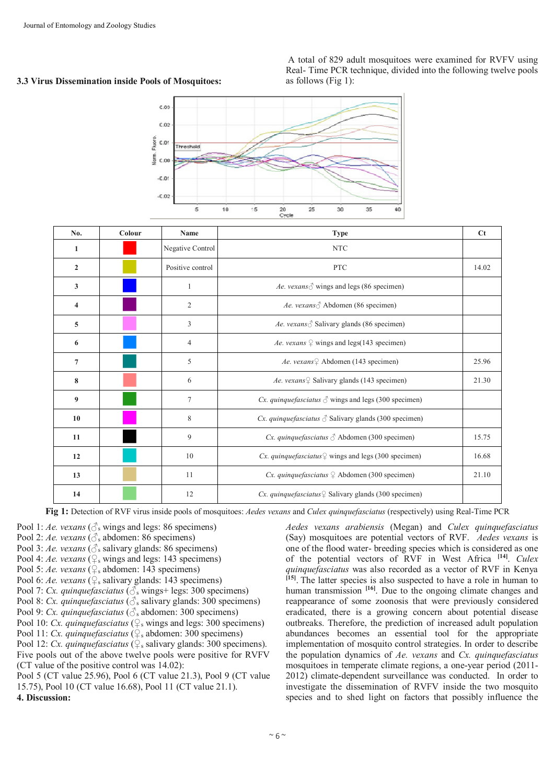# **3.3 Virus Dissemination inside Pools of Mosquitoes:**

A total of 829 adult mosquitoes were examined for RVFV using Real- Time PCR technique, divided into the following twelve pools as follows (Fig 1):



| No.            | Colour | Name             | <b>Type</b>                                                        | $C_{t}$ |
|----------------|--------|------------------|--------------------------------------------------------------------|---------|
| 1              |        | Negative Control | <b>NTC</b>                                                         |         |
| $\overline{2}$ |        | Positive control | <b>PTC</b>                                                         | 14.02   |
| 3              |        | 1                | Ae. vexans $\delta$ wings and legs (86 specimen)                   |         |
| 4              |        | $\overline{2}$   | Ae. vexans ∂ Abdomen (86 specimen)                                 |         |
| 5              |        | 3                | Ae. vexans $\delta$ Salivary glands (86 specimen)                  |         |
| 6              |        | $\overline{4}$   | Ae. vexans $\frac{1}{4}$ wings and legs(143 specimen)              |         |
| 7              |        | 5                | Ae. vexans <sup>Q</sup> Abdomen (143 specimen)                     | 25.96   |
| 8              |        | 6                | Ae. vexans $\frac{1}{2}$ Salivary glands (143 specimen)            | 21.30   |
| 9              |        | $\tau$           | Cx. quinque fasciatus $\Diamond$ wings and legs (300 specimen)     |         |
| 10             |        | 8                | Cx. quinque fasciatus $\delta$ Salivary glands (300 specimen)      |         |
| 11             |        | 9                | Cx. quinque fasciatus $\delta$ Abdomen (300 specimen)              | 15.75   |
| 12             |        | 10               | Cx. quinque fasciatus $\frac{1}{x}$ wings and legs (300 specimen)  | 16.68   |
| 13             |        | 11               | Cx. quinque fasciatus $\frac{1}{4}$ Abdomen (300 specimen)         | 21.10   |
| 14             |        | 12               | Cx. quinque fasciatus $\frac{1}{2}$ Salivary glands (300 specimen) |         |

**Fig 1:** Detection of RVF virus inside pools of mosquitoes: *Aedes vexans* and *Culex quinquefasciatus* (respectively) using Real-Time PCR

- Pool 1: *Ae. vexans* ( $\circled{S}$ s wings and legs: 86 specimens)
- Pool 2: *Ae. vexans* ( $\delta$ <sub>s</sub> abdomen: 86 specimens)
- Pool 3: *Ae. vexans* ( $\delta$ <sub>s</sub> salivary glands: 86 specimens)
- Pool 4: *Ae. vexans* (♀s wings and legs: 143 specimens)
- Pool 5: *Ae. vexans* (♀s abdomen: 143 specimens)
- Pool 6: *Ae. vexans* (♀s salivary glands: 143 specimens)
- Pool 7: *Cx. quinquefasciatus* ( $\delta$ s wings+ legs: 300 specimens)
- Pool 8: *Cx. quinquefasciatus* (♂s salivary glands: 300 specimens)
- Pool 9: *Cx. quinquefasciatus* (♂s abdomen: 300 specimens)
- Pool 10: *Cx. quinquefasciatus* (♀<sub>s</sub> wings and legs: 300 specimens)
- Pool 11: *Cx. quinquefasciatus* (♀ abdomen: 300 specimens)
- Pool 12: *Cx. quinquefasciatus* (♀ salivary glands: 300 specimens). Five pools out of the above twelve pools were positive for RVFV (CT value of the positive control was 14.02):
- Pool 5 (CT value 25.96), Pool 6 (CT value 21.3), Pool 9 (CT value 15.75), Pool 10 (CT value 16.68), Pool 11 (CT value 21.1). **4. Discussion:**

*Aedes vexans arabiensis* (Megan) and *Culex quinquefasciatus* (Say) mosquitoes are potential vectors of RVF. *Aedes vexans* is one of the flood water- breeding species which is considered as one of the potential vectors of RVF in West Africa **[14]** . *Culex quinquefasciatus* was also recorded as a vector of RVF in Kenya <sup>[15]</sup>. The latter species is also suspected to have a role in human to human transmission <sup>[16]</sup>. Due to the ongoing climate changes and reappearance of some zoonosis that were previously considered eradicated, there is a growing concern about potential disease outbreaks. Therefore, the prediction of increased adult population abundances becomes an essential tool for the appropriate implementation of mosquito control strategies. In order to describe the population dynamics of *Ae. vexans* and *Cx. quinquefasciatus* mosquitoes in temperate climate regions, a one-year period (2011- 2012) climate-dependent surveillance was conducted. In order to investigate the dissemination of RVFV inside the two mosquito species and to shed light on factors that possibly influence the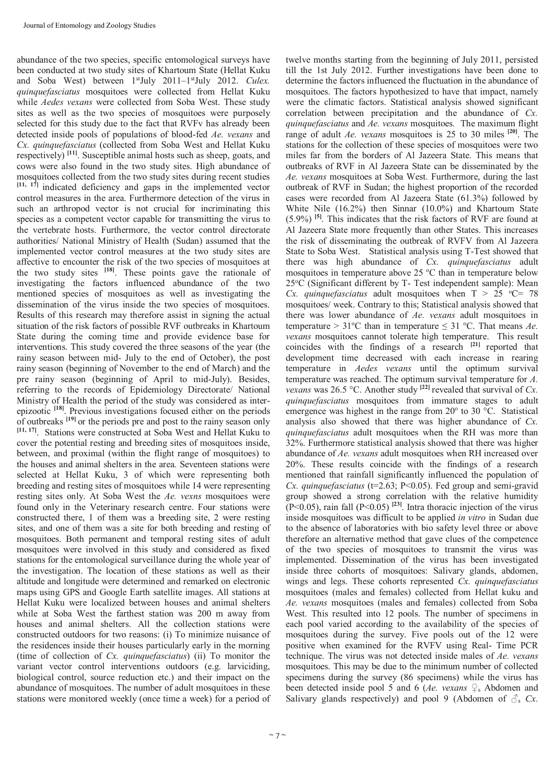abundance of the two species, specific entomological surveys have been conducted at two study sites of Khartoum State (Hellat Kuku and Soba West) between 1 stJuly 2011–1 stJuly 2012. *Culex. quinquefasciatus* mosquitoes were collected from Hellat Kuku while *Aedes vexans* were collected from Soba West. These study sites as well as the two species of mosquitoes were purposely selected for this study due to the fact that RVFv has already been detected inside pools of populations of blood-fed *Ae. vexans* and *Cx. quinquefasciatus* (collected from Soba West and Hellat Kuku respectively) **[11]**. Susceptible animal hosts such as sheep, goats, and cows were also found in the two study sites. High abundance of mosquitoes collected from the two study sites during recent studies **[11, 17]** indicated deficiency and gaps in the implemented vector control measures in the area. Furthermore detection of the virus in such an arthropod vector is not crucial for incriminating this species as a competent vector capable for transmitting the virus to the vertebrate hosts. Furthermore, the vector control directorate authorities/ National Ministry of Health (Sudan) assumed that the implemented vector control measures at the two study sites are affective to encounter the risk of the two species of mosquitoes at the two study sites **[18]**. These points gave the rationale of investigating the factors influenced abundance of the two mentioned species of mosquitoes as well as investigating the dissemination of the virus inside the two species of mosquitoes. Results of this research may therefore assist in signing the actual situation of the risk factors of possible RVF outbreaks in Khartoum State during the coming time and provide evidence base for interventions. This study covered the three seasons of the year (the rainy season between mid- July to the end of October), the post rainy season (beginning of November to the end of March) and the pre rainy season (beginning of April to mid-July). Besides, referring to the records of Epidemiology Directorate/ National Ministry of Health the period of the study was considered as interepizootic **[18]**. Previous investigations focused either on the periods of outbreaks **[19]** or the periods pre and post to the rainy season only **[11, 17]** . Stations were constructed at Soba West and Hellat Kuku to cover the potential resting and breeding sites of mosquitoes inside, between, and proximal (within the flight range of mosquitoes) to the houses and animal shelters in the area. Seventeen stations were selected at Hellat Kuku, 3 of which were representing both breeding and resting sites of mosquitoes while 14 were representing resting sites only. At Soba West the *Ae. vexns* mosquitoes were found only in the Veterinary research centre. Four stations were constructed there, 1 of them was a breeding site, 2 were resting sites, and one of them was a site for both breeding and resting of mosquitoes. Both permanent and temporal resting sites of adult mosquitoes were involved in this study and considered as fixed stations for the entomological surveillance during the whole year of the investigation. The location of these stations as well as their altitude and longitude were determined and remarked on electronic maps using GPS and Google Earth satellite images. All stations at Hellat Kuku were localized between houses and animal shelters while at Soba West the farthest station was 200 m away from houses and animal shelters. All the collection stations were constructed outdoors for two reasons: (i) To minimize nuisance of the residences inside their houses particularly early in the morning (time of collection of *Cx. quinquefasciatus*) (ii) To monitor the variant vector control interventions outdoors (e.g. larviciding, biological control, source reduction etc.) and their impact on the abundance of mosquitoes. The number of adult mosquitoes in these stations were monitored weekly (once time a week) for a period of

twelve months starting from the beginning of July 2011, persisted till the 1st July 2012. Further investigations have been done to determine the factors influenced the fluctuation in the abundance of mosquitoes. The factors hypothesized to have that impact, namely were the climatic factors. Statistical analysis showed significant correlation between precipitation and the abundance of *Cx. quinquefasciatus* and *Ae. vexans* mosquitoes*.* The maximum flight range of adult *Ae. vexans* mosquitoes is 25 to 30 miles **[20]**. The stations for the collection of these species of mosquitoes were two miles far from the borders of Al Jazeera State. This means that outbreaks of RVF in Al Jazeera State can be disseminated by the *Ae. vexans* mosquitoes at Soba West. Furthermore, during the last outbreak of RVF in Sudan; the highest proportion of the recorded cases were recorded from Al Jazeera State (61.3%) followed by White Nile (16.2%) then Sinnar (10.0%) and Khartoum State (5.9%) **[5]** . This indicates that the risk factors of RVF are found at Al Jazeera State more frequently than other States. This increases the risk of disseminating the outbreak of RVFV from Al Jazeera State to Soba West. Statistical analysis using T-Test showed that there was high abundance of *Cx. quinquefasciatus* adult mosquitoes in temperature above  $25 \degree C$  than in temperature below 25°C (Significant different by T- Test independent sample): Mean *Cx. quinquefasciatus* adult mosquitoes when  $T > 25$  °C= 78 mosquitoes/ week. Contrary to this; Statistical analysis showed that there was lower abundance of *Ae. vexans* adult mosquitoes in temperature >  $31^{\circ}$ C than in temperature  $\leq 31^{\circ}$ C. That means *Ae*. *vexans* mosquitoes cannot tolerate high temperature. This result coincides with the findings of a research **[21]** reported that development time decreased with each increase in rearing temperature in *Aedes vexans* until the optimum survival temperature was reached. The optimum survival temperature for *A. vexans* was 26.5 °C. Another study **[22]** revealed that survival of *Cx. quinquefasciatus* mosquitoes from immature stages to adult emergence was highest in the range from  $20^{\circ}$  to  $30^{\circ}$ C. Statistical analysis also showed that there was higher abundance of *Cx. quinquefasciatus* adult mosquitoes when the RH was more than 32%. Furthermore statistical analysis showed that there was higher abundance of *Ae. vexans* adult mosquitoes when RH increased over 20%. These results coincide with the findings of a research mentioned that rainfall significantly influenced the population of *Cx. quinquefasciatus* (t=2.63; P<0.05). Fed group and semi-gravid group showed a strong correlation with the relative humidity  $(P<0.05)$ , rain fall  $(P<0.05)$ <sup>[23]</sup>. Intra thoracic injection of the virus inside mosquitoes was difficult to be applied *in vitro* in Sudan due to the absence of laboratories with bio safety level three or above therefore an alternative method that gave clues of the competence of the two species of mosquitoes to transmit the virus was implemented. Dissemination of the virus has been investigated inside three cohorts of mosquitoes: Salivary glands, abdomen, wings and legs. These cohorts represented *Cx. quinquefasciatus* mosquitoes (males and females) collected from Hellat kuku and *Ae. vexans* mosquitoes (males and females) collected from Soba West. This resulted into 12 pools. The number of specimens in each pool varied according to the availability of the species of mosquitoes during the survey. Five pools out of the 12 were positive when examined for the RVFV using Real- Time PCR technique. The virus was not detected inside males of *Ae. vexans* mosquitoes. This may be due to the minimum number of collected specimens during the survey (86 specimens) while the virus has been detected inside pool 5 and 6 (*Ae. vexans*  $\mathcal{Q}_s$  Abdomen and Salivary glands respectively) and pool 9 (Abdomen of  $\mathcal{S}_s$  *Cx.*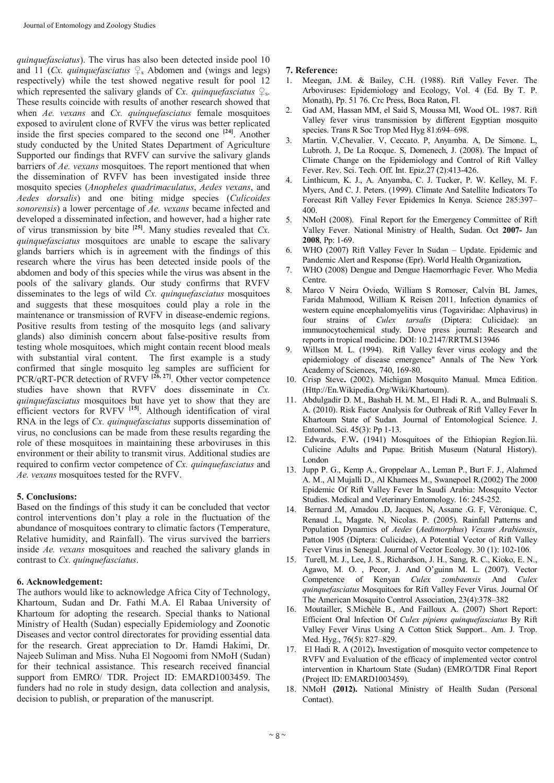*quinquefasciatus*). The virus has also been detected inside pool 10 and 11 (*Cx. quinquefasciatus*  $\mathcal{Q}_s$  Abdomen and (wings and legs) respectively) while the test showed negative result for pool 12 which represented the salivary glands of *Cx. quinquefasciatus*  $\mathcal{Q}_s$ . These results coincide with results of another research showed that when *Ae. vexans* and *Cx. quinquefasciatus* female mosquitoes exposed to avirulent clone of RVFV the virus was better replicated inside the first species compared to the second one **[24]** . Another study conducted by the United States Department of Agriculture Supported our findings that RVFV can survive the salivary glands barriers of *Ae. vexans* mosquitoes. The report mentioned that when the dissemination of RVFV has been investigated inside three mosquito species (*Anopheles quadrimaculatus*, *Aedes vexans*, and *Aedes dorsalis*) and one biting midge species (*Culicoides sonorensis*) a lower percentage of *Ae. vexans* became infected and developed a disseminated infection, and however, had a higher rate of virus transmission by bite **[25]** . Many studies revealed that *Cx. quinquefasciatus* mosquitoes are unable to escape the salivary glands barriers which is in agreement with the findings of this research where the virus has been detected inside pools of the abdomen and body of this species while the virus was absent in the pools of the salivary glands. Our study confirms that RVFV disseminates to the legs of wild *Cx. quinquefasciatus* mosquitoes and suggests that these mosquitoes could play a role in the maintenance or transmission of RVFV in disease-endemic regions. Positive results from testing of the mosquito legs (and salivary glands) also diminish concern about false-positive results from testing whole mosquitoes, which might contain recent blood meals with substantial viral content. The first example is a study confirmed that single mosquito leg samples are sufficient for PCR/qRT-PCR detection of RVFV **[26, 27]**. Other vector competence studies have shown that RVFV does disseminate in *Cx. quinquefasciatus* mosquitoes but have yet to show that they are efficient vectors for RVFV **[15]**. Although identification of viral RNA in the legs of *Cx. quinquefasciatus* supports dissemination of virus, no conclusions can be made from these results regarding the role of these mosquitoes in maintaining these arboviruses in this environment or their ability to transmit virus. Additional studies are required to confirm vector competence of *Cx. quinquefasciatus* and *Ae. vexans* mosquitoes tested for the RVFV.

### **5. Conclusions:**

Based on the findings of this study it can be concluded that vector control interventions don't play a role in the fluctuation of the abundance of mosquitoes contrary to climatic factors (Temperature, Relative humidity, and Rainfall). The virus survived the barriers inside *Ae. vexans* mosquitoes and reached the salivary glands in contrast to *Cx. quinquefasciatus*.

### **6. Acknowledgement:**

The authors would like to acknowledge Africa City of Technology, Khartoum, Sudan and Dr. Fathi M.A. El Rabaa University of Khartoum for adopting the research. Special thanks to National Ministry of Health (Sudan) especially Epidemiology and Zoonotic Diseases and vector control directorates for providing essential data for the research. Great appreciation to Dr. Hamdi Hakimi, Dr. Najeeb Suliman and Miss. Nuha El Nogoomi from NMoH (Sudan) for their technical assistance. This research received financial support from EMRO/ TDR. Project ID: EMARD1003459. The funders had no role in study design, data collection and analysis, decision to publish, or preparation of the manuscript.

# **7. Reference:**

- 1. Meegan, J.M. & Bailey, C.H. (1988). Rift Valley Fever. The Arboviruses: Epidemiology and Ecology, Vol. 4 (Ed. By T. P. Monath), Pp. 51 76. Crc Press, Boca Raton, Fl.
- 2. Gad AM, Hassan MM, el Said S, Moussa MI, Wood OL. 1987. Rift Valley fever virus transmission by different Egyptian mosquito species. Trans R Soc Trop Med Hyg 81:694–698.
- 3. Martin. V,Chevalier. V, Ceccato. P, Anyamba. A, De Simone. L, Lubroth. J, De La Rocque. S, Domenech, J. (2008). The Impact of Climate Change on the Epidemiology and Control of Rift Valley Fever. Rev. Sci. Tech. Off. Int. Epiz.27 (2):413-426.
- 4. Linthicum, K. J., A. Anyamba, C. J. Tucker, P. W. Kelley, M. F. Myers, And C. J. Peters. (1999). Climate And Satellite Indicators To Forecast Rift Valley Fever Epidemics In Kenya. Science 285:397– 400.
- 5. NMoH (2008). Final Report for the Emergency Committee of Rift Valley Fever. National Ministry of Health, Sudan. Oct **2007-** Jan **2008**, Pp: 1-69.
- WHO (2007) Rift Valley Fever In Sudan Update. Epidemic and Pandemic Alert and Response (Epr). World Health Organization**.**
- 7. WHO (2008) Dengue and Dengue Haemorrhagic Fever. Who Media Centre.
- 8. Marco V Neira Oviedo, William S Romoser, Calvin BL James, Farida Mahmood, William K Reisen 2011. Infection dynamics of western equine encephalomyelitis virus (Togaviridae: Alphavirus) in four strains of *Culex tarsalis* (Diptera: Culicidae): an immunocytochemical study. Dove press journal: Research and reports in tropical medicine. DOI: 10.2147/RRTM.S13946
- 9. Willson M. L. (1994). Rift Valley fever virus ecology and the epidemiology of disease emergence" Annals of The New York Academy of Sciences, 740, 169-80.
- 10. Crisp Steve**.** (2002). Michigan Mosquito Manual. Mmca Edition. (Http://En.Wikipedia.Org/Wiki/Khartoum).
- 11. Abdulgadir D. M., Bashab H. M. M., El Hadi R. A., and Bulmaali S. A. (2010). Risk Factor Analysis for Outbreak of Rift Valley Fever In Khartoum State of Sudan. Journal of Entomological Science. J. Entomol. Sci. 45(3): Pp 1-13.
- 12. Edwards, F.W**.** (1941) Mosquitoes of the Ethiopian Region.Iii. Culicine Adults and Pupae. British Museum (Natural History). London
- 13. Jupp P. G., Kemp A., Groppelaar A., Leman P., Burt F. J., Alahmed A. M., Al Mujalli D., Al Khamees M., Swanepoel R.(2002) The 2000 Epidemic Of Rift Valley Fever In Saudi Arabia: Mosquito Vector Studies. Medical and Veterinary Entomology. 16: 245-252.
- 14. Bernard .M, Amadou .D, Jacques. N, Assane .G. F, Véronique. C, Renaud .L, Magate. N, Nicolas. P. (2005). Rainfall Patterns and Population Dynamics of *Aedes* (*Aedimorphus*) *Vexans Arabiensis*, Patton 1905 (Diptera: Culicidae), A Potential Vector of Rift Valley Fever Virus in Senegal. Journal of Vector Ecology. 30 (1): 102-106.
- 15. Turell, M. J., Lee, J. S., Richardson, J. H., Sang, R. C., Kioko, E. N., Agawo, M. O. , Pecor, J. And O'guinn M. L. (2007). Vector Competence of Kenyan *Culex zombaensis* And *Culex quinquefasciatus* Mosquitoes for Rift Valley Fever Virus. Journal Of The American Mosquito Control Association, 23(4):378–382
- 16. Moutailler, S.Michèle B., And Failloux A. (2007) Short Report: Efficient Oral Infection Of *Culex pipiens quinquefasciatus* By Rift Valley Fever Virus Using A Cotton Stick Support.. Am. J. Trop. Med. Hyg., 76(5): 827–829.
- 17. El Hadi R. A (2012)**.** Investigation of mosquito vector competence to RVFV and Evaluation of the efficacy of implemented vector control intervention in Khartoum State (Sudan) (EMRO/TDR Final Report (Project ID: EMARD1003459).
- 18. NMoH **(2012).** National Ministry of Health Sudan (Personal Contact).